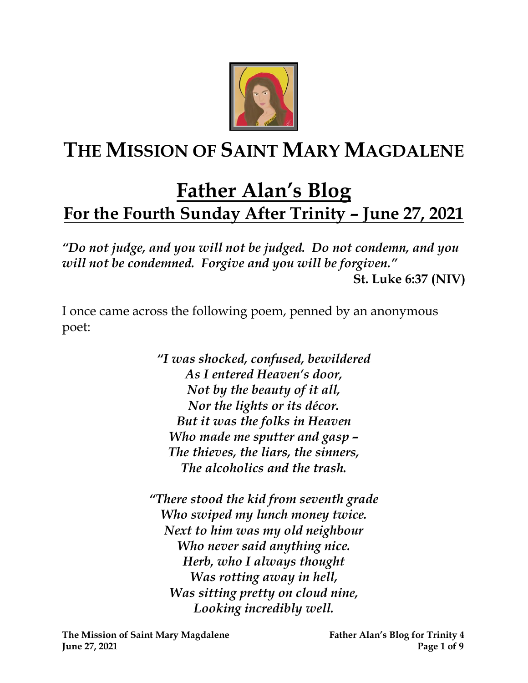

# **THE MISSION OF SAINT MARY MAGDALENE**

# **Father Alan's Blog For the Fourth Sunday After Trinity – June 27, 2021**

*"Do not judge, and you will not be judged. Do not condemn, and you will not be condemned. Forgive and you will be forgiven."*  **St. Luke 6:37 (NIV)**

I once came across the following poem, penned by an anonymous poet:

> *"I was shocked, confused, bewildered As I entered Heaven's door, Not by the beauty of it all, Nor the lights or its décor. But it was the folks in Heaven Who made me sputter and gasp – The thieves, the liars, the sinners, The alcoholics and the trash.*

*"There stood the kid from seventh grade Who swiped my lunch money twice. Next to him was my old neighbour Who never said anything nice. Herb, who I always thought Was rotting away in hell, Was sitting pretty on cloud nine, Looking incredibly well.*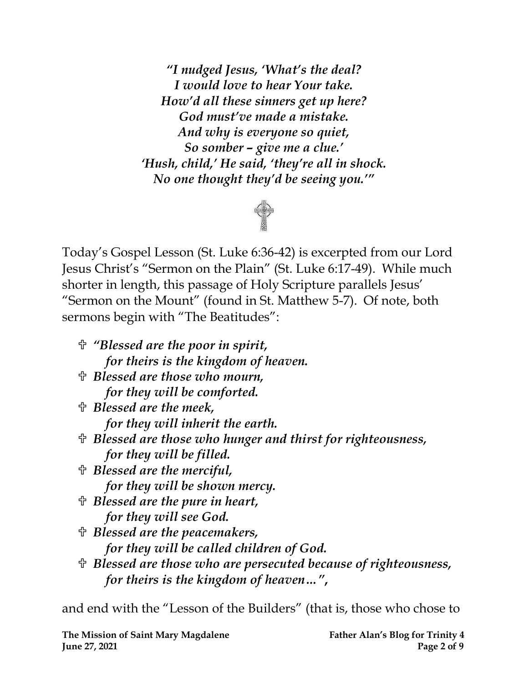*"I nudged Jesus, 'What's the deal? I would love to hear Your take. How'd all these sinners get up here? God must've made a mistake. And why is everyone so quiet, So somber – give me a clue.' 'Hush, child,' He said, 'they're all in shock. No one thought they'd be seeing you.'"*



Today's Gospel Lesson (St. Luke 6:36-42) is excerpted from our Lord Jesus Christ's "Sermon on the Plain" (St. Luke 6:17-49). While much shorter in length, this passage of Holy Scripture parallels Jesus' "Sermon on the Mount" (found in St. Matthew 5-7). Of note, both sermons begin with "The Beatitudes":

- *"Blessed are the poor in spirit, for theirs is the kingdom of heaven. Blessed are those who mourn, for they will be comforted. Blessed are the meek, for they will inherit the earth. Blessed are those who hunger and thirst for righteousness, for they will be filled. Blessed are the merciful, for they will be shown mercy. Blessed are the pure in heart, for they will see God. Blessed are the peacemakers, for they will be called children of God.*
- *Blessed are those who are persecuted because of righteousness, for theirs is the kingdom of heaven…"* **,**

and end with the "Lesson of the Builders" (that is, those who chose to

**The Mission of Saint Mary Magdalene Father Alan's Blog for Trinity 4 Iune 27, 2021 Page 2** of 9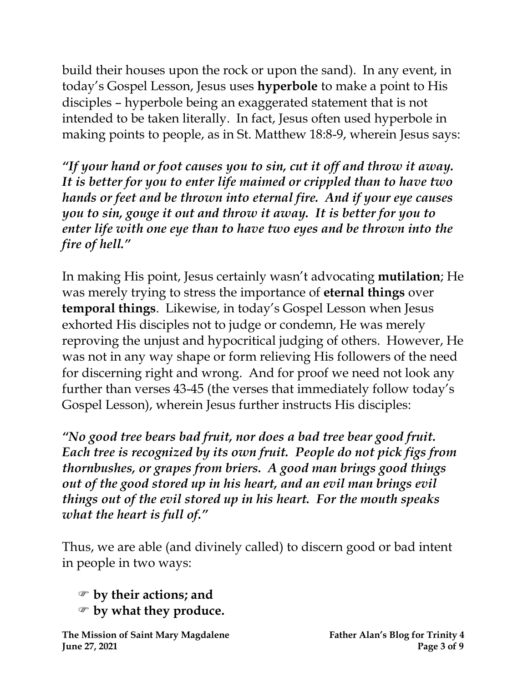build their houses upon the rock or upon the sand). In any event, in today's Gospel Lesson, Jesus uses **hyperbole** to make a point to His disciples – hyperbole being an exaggerated statement that is not intended to be taken literally. In fact, Jesus often used hyperbole in making points to people, as in St. Matthew 18:8-9, wherein Jesus says:

*"If your hand or foot causes you to sin, cut it off and throw it away. It is better for you to enter life maimed or crippled than to have two hands or feet and be thrown into eternal fire. And if your eye causes you to sin, gouge it out and throw it away. It is better for you to enter life with one eye than to have two eyes and be thrown into the fire of hell."*

In making His point, Jesus certainly wasn't advocating **mutilation**; He was merely trying to stress the importance of **eternal things** over **temporal things**. Likewise, in today's Gospel Lesson when Jesus exhorted His disciples not to judge or condemn, He was merely reproving the unjust and hypocritical judging of others. However, He was not in any way shape or form relieving His followers of the need for discerning right and wrong. And for proof we need not look any further than verses 43-45 (the verses that immediately follow today's Gospel Lesson), wherein Jesus further instructs His disciples:

*"No good tree bears bad fruit, nor does a bad tree bear good fruit. Each tree is recognized by its own fruit. People do not pick figs from thornbushes, or grapes from briers. A good man brings good things out of the good stored up in his heart, and an evil man brings evil things out of the evil stored up in his heart. For the mouth speaks what the heart is full of."*

Thus, we are able (and divinely called) to discern good or bad intent in people in two ways:

 **by their actions; and by what they produce.**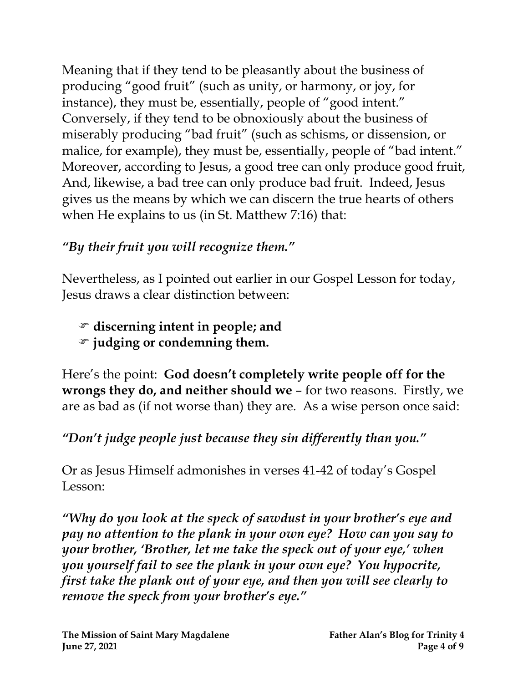Meaning that if they tend to be pleasantly about the business of producing "good fruit" (such as unity, or harmony, or joy, for instance), they must be, essentially, people of "good intent." Conversely, if they tend to be obnoxiously about the business of miserably producing "bad fruit" (such as schisms, or dissension, or malice, for example), they must be, essentially, people of "bad intent." Moreover, according to Jesus, a good tree can only produce good fruit, And, likewise, a bad tree can only produce bad fruit. Indeed, Jesus gives us the means by which we can discern the true hearts of others when He explains to us (in St. Matthew 7:16) that:

### *"By their fruit you will recognize them."*

Nevertheless, as I pointed out earlier in our Gospel Lesson for today, Jesus draws a clear distinction between:

- **discerning intent in people; and**
- **judging or condemning them.**

Here's the point: **God doesn't completely write people off for the wrongs they do, and neither should we** – for two reasons. Firstly, we are as bad as (if not worse than) they are. As a wise person once said:

### *"Don't judge people just because they sin differently than you."*

Or as Jesus Himself admonishes in verses 41-42 of today's Gospel Lesson:

*"Why do you look at the speck of sawdust in your brother's eye and pay no attention to the plank in your own eye? How can you say to your brother, 'Brother, let me take the speck out of your eye,' when you yourself fail to see the plank in your own eye? You hypocrite, first take the plank out of your eye, and then you will see clearly to remove the speck from your brother's eye."*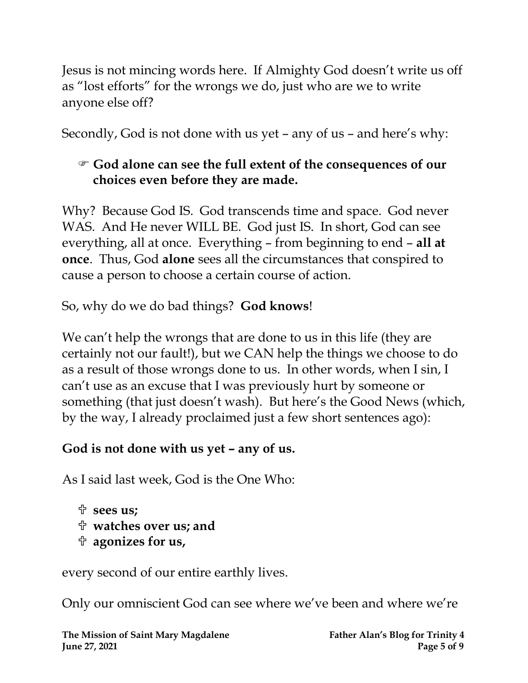Jesus is not mincing words here. If Almighty God doesn't write us off as "lost efforts" for the wrongs we do, just who are we to write anyone else off?

Secondly, God is not done with us yet – any of us – and here's why:

#### **God alone can see the full extent of the consequences of our choices even before they are made.**

Why? Because God IS. God transcends time and space. God never WAS. And He never WILL BE. God just IS. In short, God can see everything, all at once. Everything – from beginning to end – **all at once**. Thus, God **alone** sees all the circumstances that conspired to cause a person to choose a certain course of action.

So, why do we do bad things? **God knows**!

We can't help the wrongs that are done to us in this life (they are certainly not our fault!), but we CAN help the things we choose to do as a result of those wrongs done to us. In other words, when I sin, I can't use as an excuse that I was previously hurt by someone or something (that just doesn't wash). But here's the Good News (which, by the way, I already proclaimed just a few short sentences ago):

#### **God is not done with us yet – any of us.**

As I said last week, God is the One Who:

```
 sees us;
```
- **watches over us; and**
- **agonizes for us,**

every second of our entire earthly lives.

Only our omniscient God can see where we've been and where we're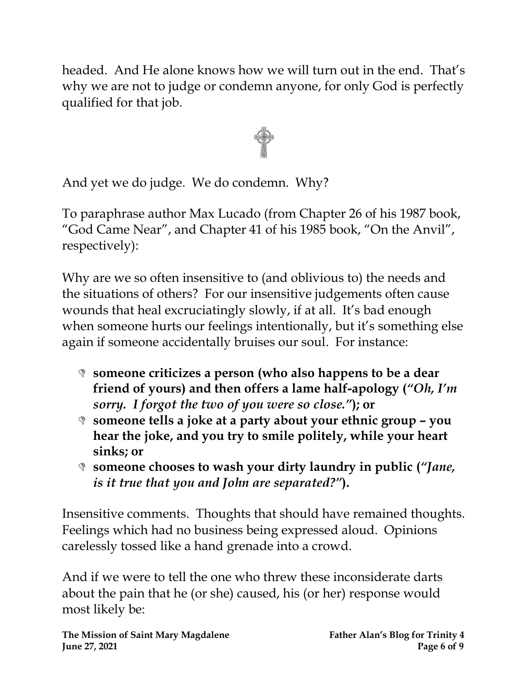headed. And He alone knows how we will turn out in the end. That's why we are not to judge or condemn anyone, for only God is perfectly qualified for that job.



And yet we do judge. We do condemn. Why?

To paraphrase author Max Lucado (from Chapter 26 of his 1987 book, "God Came Near", and Chapter 41 of his 1985 book, "On the Anvil", respectively):

Why are we so often insensitive to (and oblivious to) the needs and the situations of others? For our insensitive judgements often cause wounds that heal excruciatingly slowly, if at all. It's bad enough when someone hurts our feelings intentionally, but it's something else again if someone accidentally bruises our soul. For instance:

- **someone criticizes a person (who also happens to be a dear friend of yours) and then offers a lame half-apology (***"Oh, I'm sorry. I forgot the two of you were so close."***); or**
- **someone tells a joke at a party about your ethnic group – you hear the joke, and you try to smile politely, while your heart sinks; or**
- **someone chooses to wash your dirty laundry in public (***"Jane, is it true that you and John are separated?"***).**

Insensitive comments. Thoughts that should have remained thoughts. Feelings which had no business being expressed aloud. Opinions carelessly tossed like a hand grenade into a crowd.

And if we were to tell the one who threw these inconsiderate darts about the pain that he (or she) caused, his (or her) response would most likely be: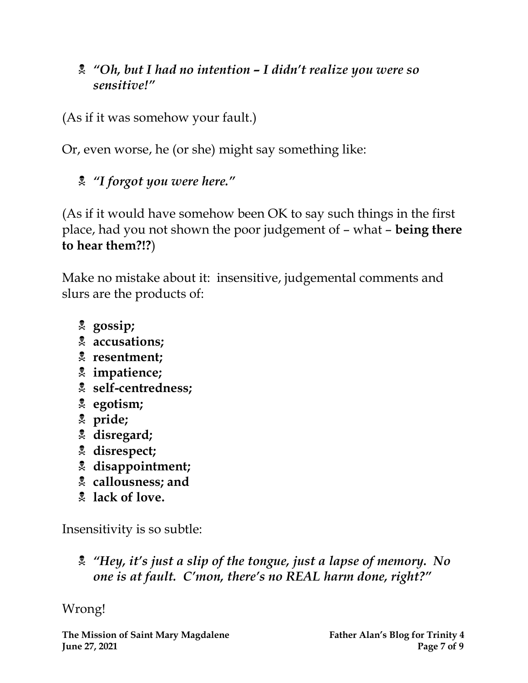#### *"Oh, but I had no intention – I didn't realize you were so sensitive!"*

(As if it was somehow your fault.)

Or, even worse, he (or she) might say something like:

*"I forgot you were here."*

(As if it would have somehow been OK to say such things in the first place, had you not shown the poor judgement of – what – **being there to hear them?!?**)

Make no mistake about it: insensitive, judgemental comments and slurs are the products of:

- **gossip;**
- **accusations;**
- **resentment;**
- **impatience;**
- **self-centredness;**
- **egotism;**
- **pride;**
- **disregard;**
- **disrespect;**
- **disappointment;**
- **callousness; and**
- **lack of love.**

Insensitivity is so subtle:

 *"Hey, it's just a slip of the tongue, just a lapse of memory. No one is at fault. C'mon, there's no REAL harm done, right?"*

Wrong!

**The Mission of Saint Mary Magdalene Father Alan's Blog for Trinity 4 Iune 27, 2021 Page 7** of 9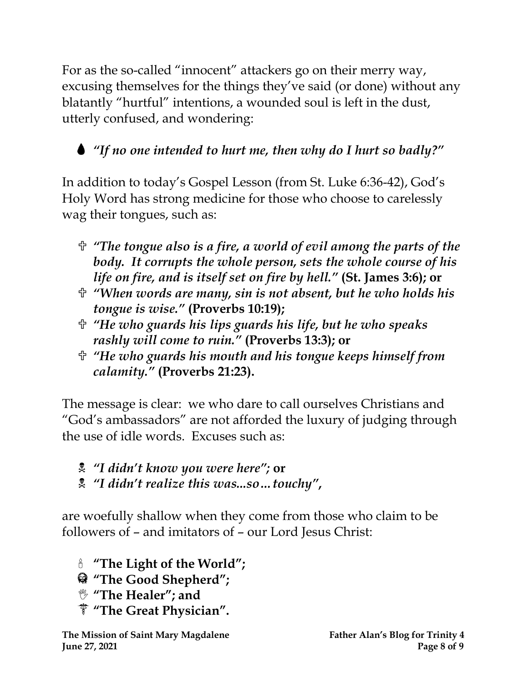For as the so-called "innocent" attackers go on their merry way, excusing themselves for the things they've said (or done) without any blatantly "hurtful" intentions, a wounded soul is left in the dust, utterly confused, and wondering:

## *"If no one intended to hurt me, then why do I hurt so badly?"*

In addition to today's Gospel Lesson (from St. Luke 6:36-42), God's Holy Word has strong medicine for those who choose to carelessly wag their tongues, such as:

- *"The tongue also is a fire, a world of evil among the parts of the body. It corrupts the whole person, sets the whole course of his life on fire, and is itself set on fire by hell."* **(St. James 3:6); or**
- *"When words are many, sin is not absent, but he who holds his tongue is wise."* **(Proverbs 10:19);**
- *"He who guards his lips guards his life, but he who speaks rashly will come to ruin."* **(Proverbs 13:3); or**
- *"He who guards his mouth and his tongue keeps himself from calamity."* **(Proverbs 21:23).**

The message is clear: we who dare to call ourselves Christians and "God's ambassadors" are not afforded the luxury of judging through the use of idle words. Excuses such as:

- *"I didn't know you were here";* **or**
- *"I didn't realize this was...so…touchy"* **,**

are woefully shallow when they come from those who claim to be followers of – and imitators of – our Lord Jesus Christ:

- **"The Light of the World";**
- **"The Good Shepherd";**
- **"The Healer"; and**
- **"The Great Physician".**